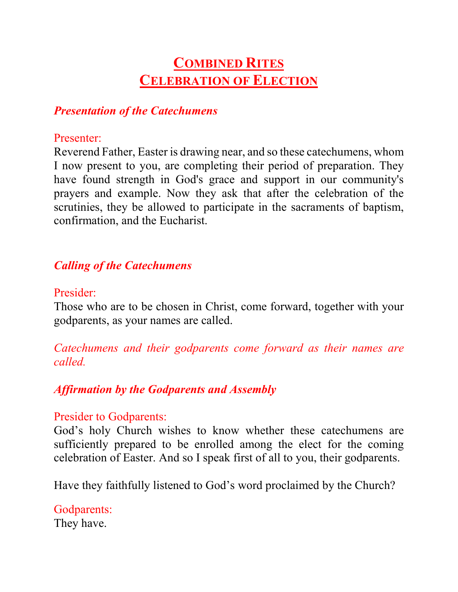# **COMBINED RITES CELEBRATION OF ELECTION**

### *Presentation of the Catechumens*

#### Presenter:

Reverend Father, Easter is drawing near, and so these catechumens, whom I now present to you, are completing their period of preparation. They have found strength in God's grace and support in our community's prayers and example. Now they ask that after the celebration of the scrutinies, they be allowed to participate in the sacraments of baptism, confirmation, and the Eucharist.

### *Calling of the Catechumens*

### Presider:

Those who are to be chosen in Christ, come forward, together with your godparents, as your names are called.

*Catechumens and their godparents come forward as their names are called.*

# *Affirmation by the Godparents and Assembly*

### Presider to Godparents:

God's holy Church wishes to know whether these catechumens are sufficiently prepared to be enrolled among the elect for the coming celebration of Easter. And so I speak first of all to you, their godparents.

Have they faithfully listened to God's word proclaimed by the Church?

Godparents: They have.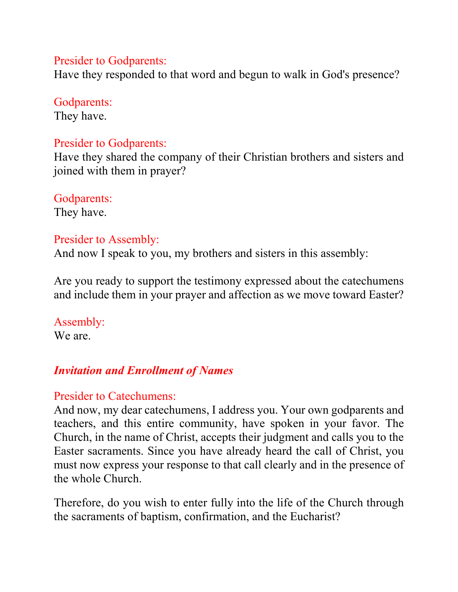#### Presider to Godparents:

Have they responded to that word and begun to walk in God's presence?

### Godparents:

They have.

### Presider to Godparents:

Have they shared the company of their Christian brothers and sisters and joined with them in prayer?

# Godparents:

They have.

### Presider to Assembly:

And now I speak to you, my brothers and sisters in this assembly:

Are you ready to support the testimony expressed about the catechumens and include them in your prayer and affection as we move toward Easter?

### Assembly:

We are.

# *Invitation and Enrollment of Names*

### Presider to Catechumens:

And now, my dear catechumens, I address you. Your own godparents and teachers, and this entire community, have spoken in your favor. The Church, in the name of Christ, accepts their judgment and calls you to the Easter sacraments. Since you have already heard the call of Christ, you must now express your response to that call clearly and in the presence of the whole Church.

Therefore, do you wish to enter fully into the life of the Church through the sacraments of baptism, confirmation, and the Eucharist?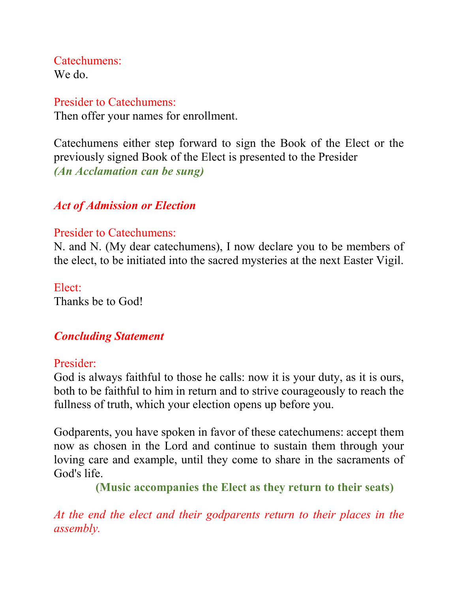Catechumens: We do.

### Presider to Catechumens:

Then offer your names for enrollment.

Catechumens either step forward to sign the Book of the Elect or the previously signed Book of the Elect is presented to the Presider *(An Acclamation can be sung)*

# *Act of Admission or Election*

### Presider to Catechumens:

N. and N. (My dear catechumens), I now declare you to be members of the elect, to be initiated into the sacred mysteries at the next Easter Vigil.

Elect: Thanks be to God!

# *Concluding Statement*

### Presider:

God is always faithful to those he calls: now it is your duty, as it is ours, both to be faithful to him in return and to strive courageously to reach the fullness of truth, which your election opens up before you.

Godparents, you have spoken in favor of these catechumens: accept them now as chosen in the Lord and continue to sustain them through your loving care and example, until they come to share in the sacraments of God's life.

 **(Music accompanies the Elect as they return to their seats)**

*At the end the elect and their godparents return to their places in the assembly.*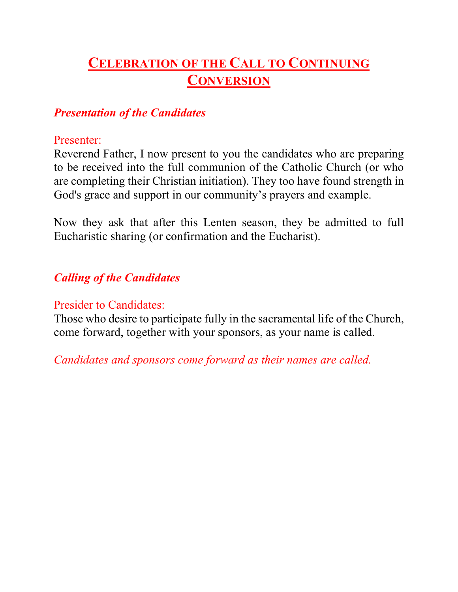# **CELEBRATION OF THE CALL TO CONTINUING CONVERSION**

### *Presentation of the Candidates*

### Presenter:

Reverend Father, I now present to you the candidates who are preparing to be received into the full communion of the Catholic Church (or who are completing their Christian initiation). They too have found strength in God's grace and support in our community's prayers and example.

Now they ask that after this Lenten season, they be admitted to full Eucharistic sharing (or confirmation and the Eucharist).

# *Calling of the Candidates*

### Presider to Candidates:

Those who desire to participate fully in the sacramental life of the Church, come forward, together with your sponsors, as your name is called.

*Candidates and sponsors come forward as their names are called.*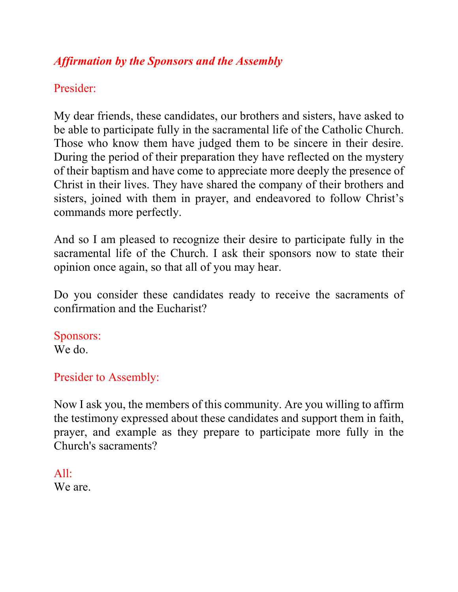# *Affirmation by the Sponsors and the Assembly*

# Presider:

My dear friends, these candidates, our brothers and sisters, have asked to be able to participate fully in the sacramental life of the Catholic Church. Those who know them have judged them to be sincere in their desire. During the period of their preparation they have reflected on the mystery of their baptism and have come to appreciate more deeply the presence of Christ in their lives. They have shared the company of their brothers and sisters, joined with them in prayer, and endeavored to follow Christ's commands more perfectly.

And so I am pleased to recognize their desire to participate fully in the sacramental life of the Church. I ask their sponsors now to state their opinion once again, so that all of you may hear.

Do you consider these candidates ready to receive the sacraments of confirmation and the Eucharist?

Sponsors: We do.

### Presider to Assembly:

Now I ask you, the members of this community. Are you willing to affirm the testimony expressed about these candidates and support them in faith, prayer, and example as they prepare to participate more fully in the Church's sacraments?

All: We are.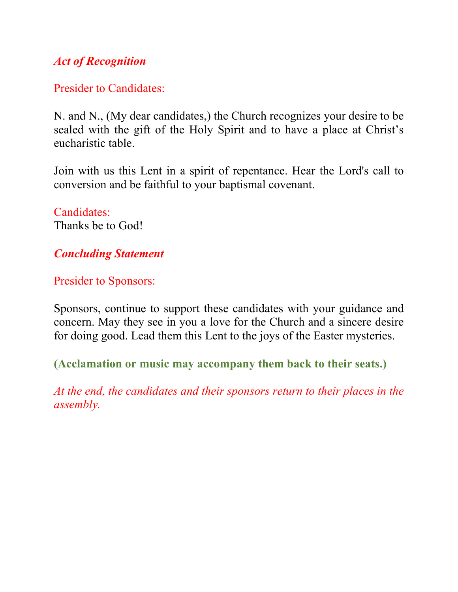# *Act of Recognition*

### Presider to Candidates:

N. and N., (My dear candidates,) the Church recognizes your desire to be sealed with the gift of the Holy Spirit and to have a place at Christ's eucharistic table.

Join with us this Lent in a spirit of repentance. Hear the Lord's call to conversion and be faithful to your baptismal covenant.

# Candidates:

Thanks be to God!

# *Concluding Statement*

Presider to Sponsors:

Sponsors, continue to support these candidates with your guidance and concern. May they see in you a love for the Church and a sincere desire for doing good. Lead them this Lent to the joys of the Easter mysteries.

**(Acclamation or music may accompany them back to their seats.)**

*At the end, the candidates and their sponsors return to their places in the assembly.*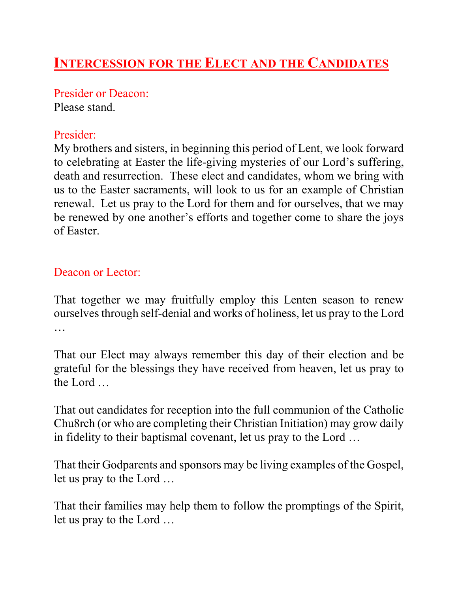# **INTERCESSION FOR THE ELECT AND THE CANDIDATES**

Presider or Deacon: Please stand.

### Presider:

My brothers and sisters, in beginning this period of Lent, we look forward to celebrating at Easter the life-giving mysteries of our Lord's suffering, death and resurrection. These elect and candidates, whom we bring with us to the Easter sacraments, will look to us for an example of Christian renewal. Let us pray to the Lord for them and for ourselves, that we may be renewed by one another's efforts and together come to share the joys of Easter.

### Deacon or Lector:

That together we may fruitfully employ this Lenten season to renew ourselves through self-denial and works of holiness, let us pray to the Lord …

That our Elect may always remember this day of their election and be grateful for the blessings they have received from heaven, let us pray to the Lord …

That out candidates for reception into the full communion of the Catholic Chu8rch (or who are completing their Christian Initiation) may grow daily in fidelity to their baptismal covenant, let us pray to the Lord …

That their Godparents and sponsors may be living examples of the Gospel, let us pray to the Lord …

That their families may help them to follow the promptings of the Spirit, let us pray to the Lord …